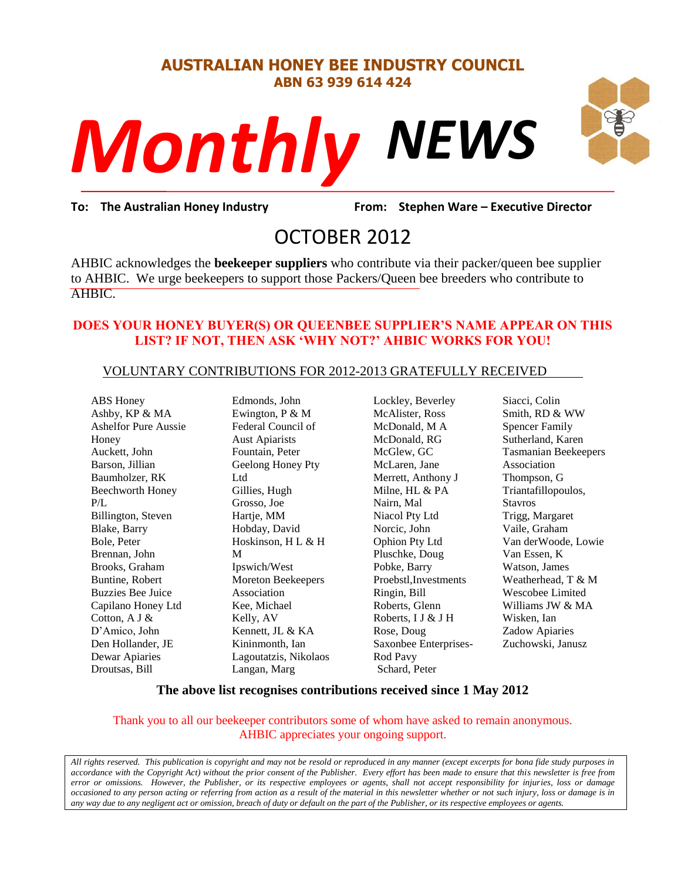#### **AUSTRALIAN HONEY BEE INDUSTRY COUNCIL ABN 63 939 614 424**



**To: The Australian Honey Industry From: Stephen Ware – Executive Director**

# OCTOBER 2012

AHBIC acknowledges the **beekeeper suppliers** who contribute via their packer/queen bee supplier to AHBIC. We urge beekeepers to support those Packers/Queen bee breeders who contribute to AHBIC.

#### **DOES YOUR HONEY BUYER(S) OR QUEENBEE SUPPLIER'S NAME APPEAR ON THIS LIST? IF NOT, THEN ASK 'WHY NOT?' AHBIC WORKS FOR YOU!**

#### VOLUNTARY CONTRIBUTIONS FOR 2012-2013 GRATEFULLY RECEIVED

ABS Honey Ashby, KP & MA Ashelfor Pure Aussie Honey Auckett, John Barson, Jillian Baumholzer, RK Beechworth Honey P/L Billington, Steven Blake, Barry Bole, Peter Brennan, John Brooks, Graham Buntine, Robert Buzzies Bee Juice Capilano Honey Ltd Cotton, A J & D'Amico, John Den Hollander, JE Dewar Apiaries Droutsas, Bill

Edmonds, John Ewington, P & M Federal Council of Aust Apiarists Fountain, Peter Geelong Honey Pty Ltd Gillies, Hugh Grosso, Joe Hartje, MM Hobday, David Hoskinson, H L & H M Ipswich/West Moreton Beekeepers Association Kee, Michael Kelly, AV Kennett, JL & KA Kininmonth, Ian Lagoutatzis, Nikolaos Langan, Marg

Lockley, Beverley McAlister, Ross McDonald, M A McDonald, RG McGlew, GC McLaren, Jane Merrett, Anthony J Milne, HL & PA Nairn, Mal Niacol Pty Ltd Norcic, John Ophion Pty Ltd Pluschke, Doug Pobke, Barry Proebstl,Investments Ringin, Bill Roberts, Glenn Roberts, I J & J H Rose, Doug Saxonbee Enterprises-Rod Pavy Schard, Peter

Siacci, Colin Smith, RD & WW Spencer Family Sutherland, Karen Tasmanian Beekeepers Association Thompson, G Triantafillopoulos, Stavros Trigg, Margaret Vaile, Graham Van derWoode, Lowie Van Essen, K Watson, James Weatherhead, T & M Wescobee Limited Williams JW & MA Wisken, Ian Zadow Apiaries Zuchowski, Janusz

#### **The above list recognises contributions received since 1 May 2012**

#### Thank you to all our beekeeper contributors some of whom have asked to remain anonymous. AHBIC appreciates your ongoing support.

*All rights reserved. This publication is copyright and may not be resold or reproduced in any manner (except excerpts for bona fide study purposes in accordance with the Copyright Act) without the prior consent of the Publisher. Every effort has been made to ensure that this newsletter is free from error or omissions. However, the Publisher, or its respective employees or agents, shall not accept responsibility for injuries, loss or damage occasioned to any person acting or referring from action as a result of the material in this newsletter whether or not such injury, loss or damage is in any way due to any negligent act or omission, breach of duty or default on the part of the Publisher, or its respective employees or agents.*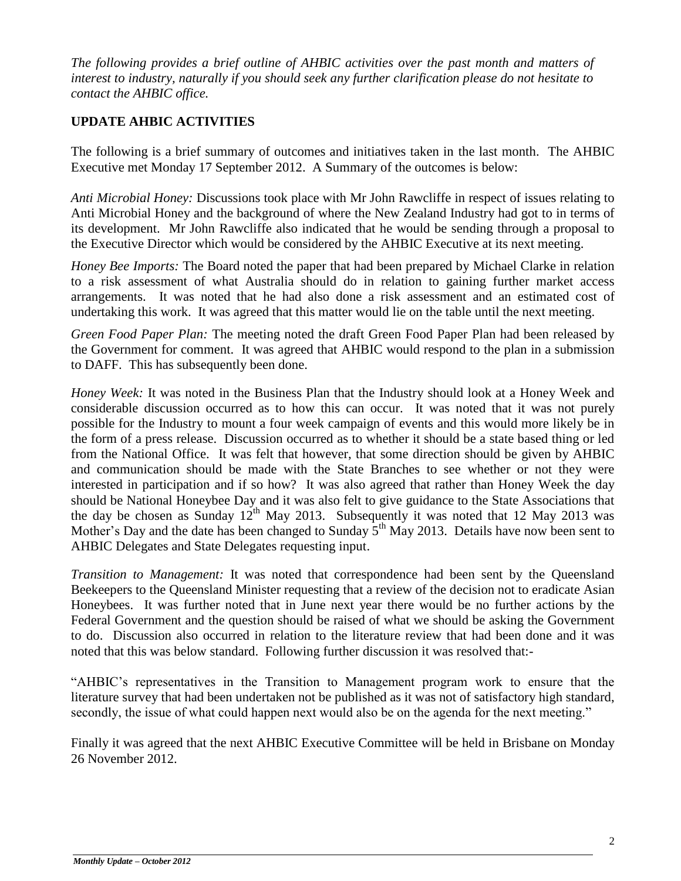*The following provides a brief outline of AHBIC activities over the past month and matters of interest to industry, naturally if you should seek any further clarification please do not hesitate to contact the AHBIC office.*

## **UPDATE AHBIC ACTIVITIES**

The following is a brief summary of outcomes and initiatives taken in the last month. The AHBIC Executive met Monday 17 September 2012. A Summary of the outcomes is below:

*Anti Microbial Honey:* Discussions took place with Mr John Rawcliffe in respect of issues relating to Anti Microbial Honey and the background of where the New Zealand Industry had got to in terms of its development. Mr John Rawcliffe also indicated that he would be sending through a proposal to the Executive Director which would be considered by the AHBIC Executive at its next meeting.

*Honey Bee Imports:* The Board noted the paper that had been prepared by Michael Clarke in relation to a risk assessment of what Australia should do in relation to gaining further market access arrangements. It was noted that he had also done a risk assessment and an estimated cost of undertaking this work. It was agreed that this matter would lie on the table until the next meeting.

*Green Food Paper Plan:* The meeting noted the draft Green Food Paper Plan had been released by the Government for comment. It was agreed that AHBIC would respond to the plan in a submission to DAFF. This has subsequently been done.

*Honey Week:* It was noted in the Business Plan that the Industry should look at a Honey Week and considerable discussion occurred as to how this can occur. It was noted that it was not purely possible for the Industry to mount a four week campaign of events and this would more likely be in the form of a press release. Discussion occurred as to whether it should be a state based thing or led from the National Office. It was felt that however, that some direction should be given by AHBIC and communication should be made with the State Branches to see whether or not they were interested in participation and if so how? It was also agreed that rather than Honey Week the day should be National Honeybee Day and it was also felt to give guidance to the State Associations that the day be chosen as Sunday  $12^{th}$  May 2013. Subsequently it was noted that 12 May 2013 was Mother's Day and the date has been changed to Sunday  $5<sup>th</sup>$  May 2013. Details have now been sent to AHBIC Delegates and State Delegates requesting input.

*Transition to Management:* It was noted that correspondence had been sent by the Queensland Beekeepers to the Queensland Minister requesting that a review of the decision not to eradicate Asian Honeybees. It was further noted that in June next year there would be no further actions by the Federal Government and the question should be raised of what we should be asking the Government to do. Discussion also occurred in relation to the literature review that had been done and it was noted that this was below standard. Following further discussion it was resolved that:-

"AHBIC's representatives in the Transition to Management program work to ensure that the literature survey that had been undertaken not be published as it was not of satisfactory high standard, secondly, the issue of what could happen next would also be on the agenda for the next meeting."

Finally it was agreed that the next AHBIC Executive Committee will be held in Brisbane on Monday 26 November 2012.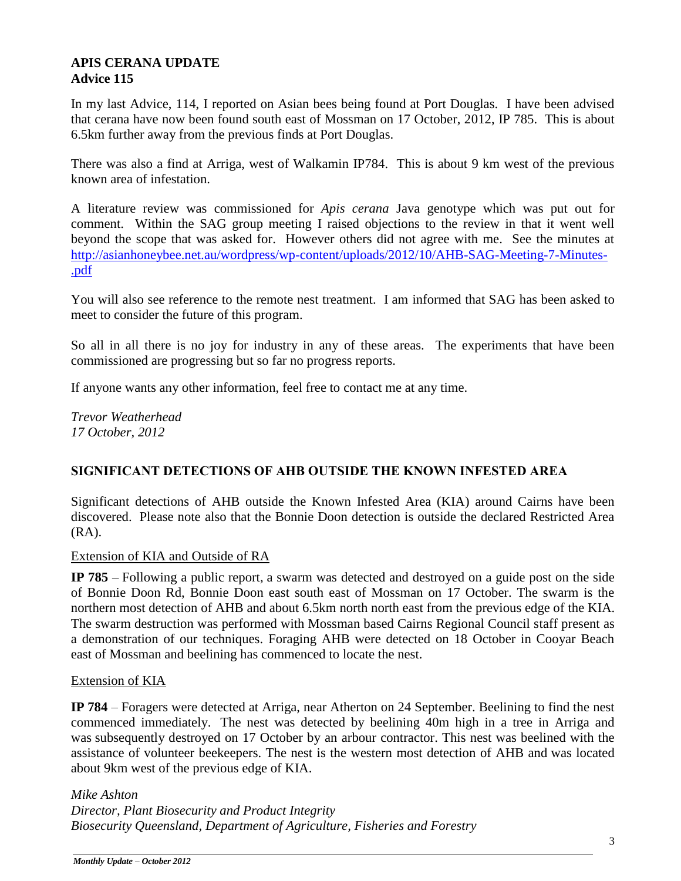#### **APIS CERANA UPDATE Advice 115**

In my last Advice, 114, I reported on Asian bees being found at Port Douglas. I have been advised that cerana have now been found south east of Mossman on 17 October, 2012, IP 785. This is about 6.5km further away from the previous finds at Port Douglas.

There was also a find at Arriga, west of Walkamin IP784. This is about 9 km west of the previous known area of infestation.

A literature review was commissioned for *Apis cerana* Java genotype which was put out for comment. Within the SAG group meeting I raised objections to the review in that it went well beyond the scope that was asked for. However others did not agree with me. See the minutes at [http://asianhoneybee.net.au/wordpress/wp-content/uploads/2012/10/AHB-SAG-Meeting-7-Minutes-](http://asianhoneybee.net.au/wordpress/wp-content/uploads/2012/10/AHB-SAG-Meeting-7-Minutes-.pdf) [.pdf](http://asianhoneybee.net.au/wordpress/wp-content/uploads/2012/10/AHB-SAG-Meeting-7-Minutes-.pdf)

You will also see reference to the remote nest treatment. I am informed that SAG has been asked to meet to consider the future of this program.

So all in all there is no joy for industry in any of these areas. The experiments that have been commissioned are progressing but so far no progress reports.

If anyone wants any other information, feel free to contact me at any time.

*Trevor Weatherhead 17 October, 2012*

#### **SIGNIFICANT DETECTIONS OF AHB OUTSIDE THE KNOWN INFESTED AREA**

Significant detections of AHB outside the Known Infested Area (KIA) around Cairns have been discovered. Please note also that the Bonnie Doon detection is outside the declared Restricted Area (RA).

Extension of KIA and Outside of RA

**IP 785** – Following a public report, a swarm was detected and destroyed on a guide post on the side of Bonnie Doon Rd, Bonnie Doon east south east of Mossman on 17 October. The swarm is the northern most detection of AHB and about 6.5km north north east from the previous edge of the KIA. The swarm destruction was performed with Mossman based Cairns Regional Council staff present as a demonstration of our techniques. Foraging AHB were detected on 18 October in Cooyar Beach east of Mossman and beelining has commenced to locate the nest.

#### Extension of KIA

**IP 784** – Foragers were detected at Arriga, near Atherton on 24 September. Beelining to find the nest commenced immediately. The nest was detected by beelining 40m high in a tree in Arriga and was subsequently destroyed on 17 October by an arbour contractor. This nest was beelined with the assistance of volunteer beekeepers. The nest is the western most detection of AHB and was located about 9km west of the previous edge of KIA.

*Mike Ashton Director, Plant Biosecurity and Product Integrity Biosecurity Queensland, Department of Agriculture, Fisheries and Forestry*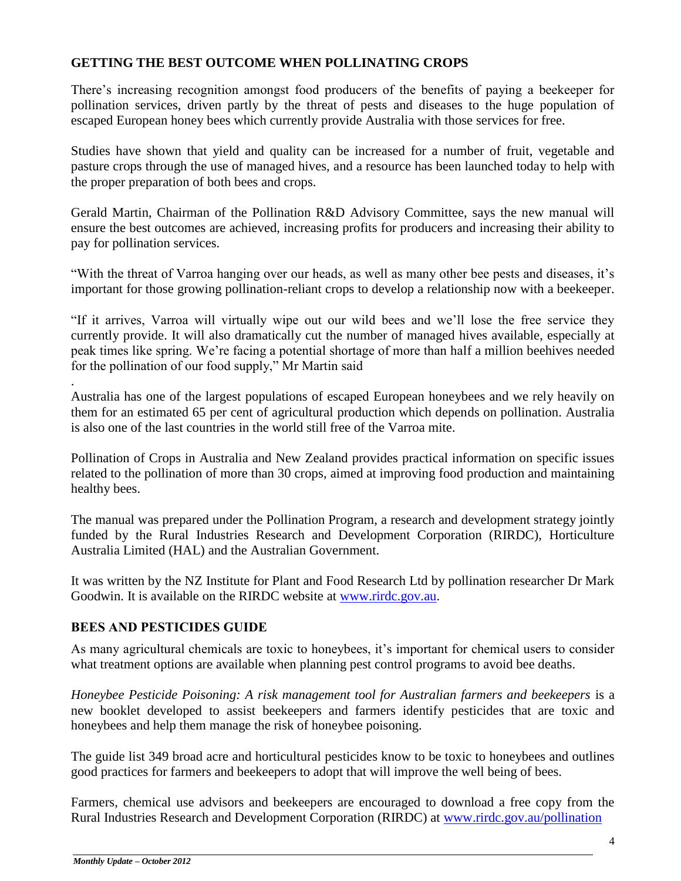#### **GETTING THE BEST OUTCOME WHEN POLLINATING CROPS**

There's increasing recognition amongst food producers of the benefits of paying a beekeeper for pollination services, driven partly by the threat of pests and diseases to the huge population of escaped European honey bees which currently provide Australia with those services for free.

Studies have shown that yield and quality can be increased for a number of fruit, vegetable and pasture crops through the use of managed hives, and a resource has been launched today to help with the proper preparation of both bees and crops.

Gerald Martin, Chairman of the Pollination R&D Advisory Committee, says the new manual will ensure the best outcomes are achieved, increasing profits for producers and increasing their ability to pay for pollination services.

"With the threat of Varroa hanging over our heads, as well as many other bee pests and diseases, it's important for those growing pollination-reliant crops to develop a relationship now with a beekeeper.

"If it arrives, Varroa will virtually wipe out our wild bees and we'll lose the free service they currently provide. It will also dramatically cut the number of managed hives available, especially at peak times like spring. We're facing a potential shortage of more than half a million beehives needed for the pollination of our food supply," Mr Martin said

. Australia has one of the largest populations of escaped European honeybees and we rely heavily on them for an estimated 65 per cent of agricultural production which depends on pollination. Australia is also one of the last countries in the world still free of the Varroa mite.

Pollination of Crops in Australia and New Zealand provides practical information on specific issues related to the pollination of more than 30 crops, aimed at improving food production and maintaining healthy bees.

The manual was prepared under the Pollination Program, a research and development strategy jointly funded by the Rural Industries Research and Development Corporation (RIRDC), Horticulture Australia Limited (HAL) and the Australian Government.

It was written by the NZ Institute for Plant and Food Research Ltd by pollination researcher Dr Mark Goodwin. It is available on the RIRDC website at [www.rirdc.gov.au.](http://promomail.adrenalinmedia.com.au/ch/22934/2ddjkxf/1791601/4aa0cxnc.html)

### **BEES AND PESTICIDES GUIDE**

As many agricultural chemicals are toxic to honeybees, it's important for chemical users to consider what treatment options are available when planning pest control programs to avoid bee deaths.

*Honeybee Pesticide Poisoning: A risk management tool for Australian farmers and beekeepers* is a new booklet developed to assist beekeepers and farmers identify pesticides that are toxic and honeybees and help them manage the risk of honeybee poisoning.

The guide list 349 broad acre and horticultural pesticides know to be toxic to honeybees and outlines good practices for farmers and beekeepers to adopt that will improve the well being of bees.

Farmers, chemical use advisors and beekeepers are encouraged to download a free copy from the Rural Industries Research and Development Corporation (RIRDC) at [www.rirdc.gov.au/pollination](http://www.rirdc.gov.au/pollination)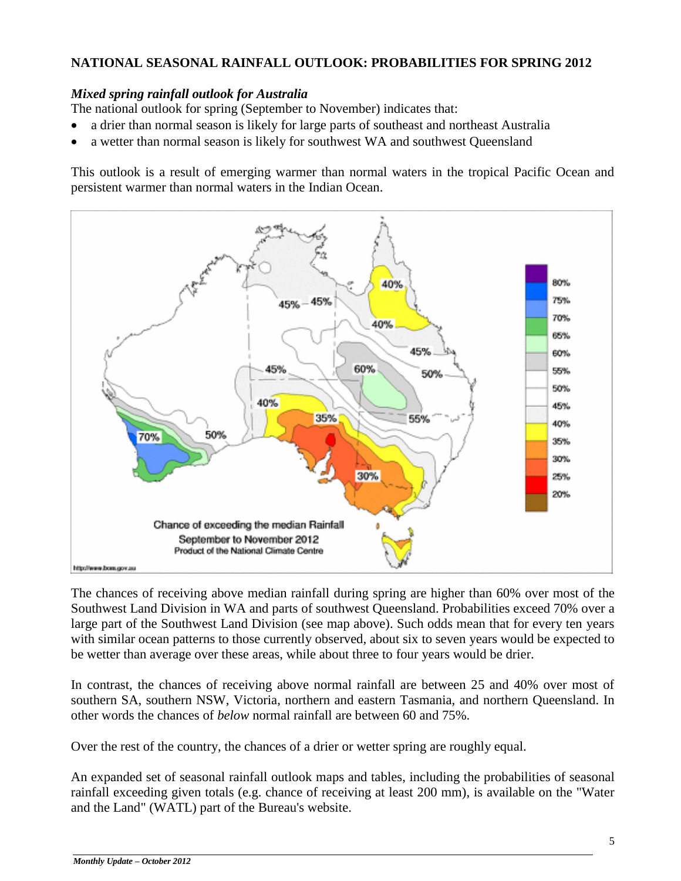#### **NATIONAL SEASONAL RAINFALL OUTLOOK: PROBABILITIES FOR SPRING 2012**

#### *Mixed spring rainfall outlook for Australia*

The national outlook for spring (September to November) indicates that:

- a drier than normal season is likely for large parts of southeast and northeast Australia
- a wetter than normal season is likely for southwest WA and southwest Queensland

This outlook is a result of emerging warmer than normal waters in the tropical Pacific Ocean and persistent warmer than normal waters in the Indian Ocean.



The chances of receiving above [median rainfall](http://www.bom.gov.au/climate/averages/climatology/rainfall-percentiles/50/p50-September-November.png) during spring are higher than 60% over most of the Southwest Land Division in WA and parts of southwest Queensland. Probabilities exceed 70% over a large part of the Southwest Land Division (see map above). Such odds mean that for every ten years with similar ocean patterns to those currently observed, about six to seven years would be expected to be wetter than average over these areas, while about three to four years would be drier.

In contrast, the chances of receiving above normal rainfall are between 25 and 40% over most of southern SA, southern NSW, Victoria, northern and eastern Tasmania, and northern Queensland. In other words the chances of *below* normal rainfall are between 60 and 75%.

Over the rest of the country, the chances of a drier or wetter spring are roughly equal.

An expanded set of seasonal [rainfall outlook maps and tables,](http://www.bom.gov.au/watl/rainfall/exceedance.shtml) including the probabilities of seasonal rainfall exceeding given totals (e.g. chance of receiving at least 200 mm), is available on the "Water and the Land" (WATL) part of the Bureau's website.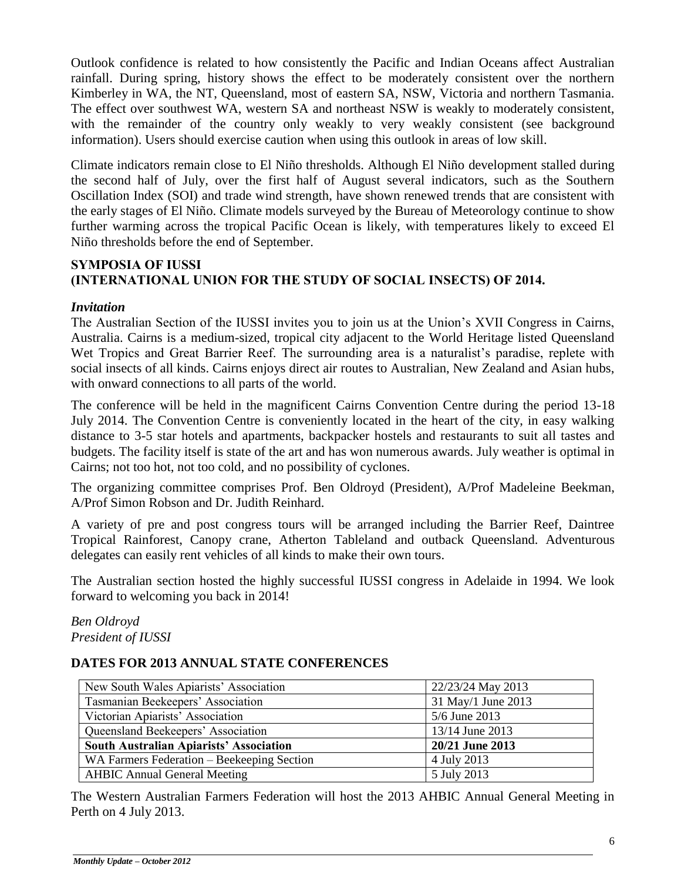Outlook [confidence](http://www.bom.gov.au/jsp/sco/verif/index.jsp?map=rr&season=09-11) is related to how consistently the Pacific and Indian Oceans affect Australian rainfall. During spring, history shows the effect to be moderately consistent over the northern Kimberley in WA, the NT, Queensland, most of eastern SA, NSW, Victoria and northern Tasmania. The effect over southwest WA, western SA and northeast NSW is weakly to moderately consistent, with the remainder of the country only weakly to very weakly consistent (see [background](http://www.bom.gov.au/climate/ahead/rain_ahead.shtml?link=1#background)  [information\)](http://www.bom.gov.au/climate/ahead/rain_ahead.shtml?link=1#background). Users should exercise caution when using this outlook in areas of low skill.

Climate indicators remain close to El Niño thresholds. Although El Niño development stalled during the second half of July, over the first half of August several indicators, such as the Southern Oscillation Index (SOI) and trade wind strength, have shown renewed trends that are consistent with the early stages of El Niño. Climate models surveyed by the Bureau of Meteorology continue to show further warming across the tropical Pacific Ocean is likely, with temperatures likely to exceed El Niño thresholds before the end of September.

#### **SYMPOSIA OF IUSSI (INTERNATIONAL UNION FOR THE STUDY OF SOCIAL INSECTS) OF 2014.**

#### *Invitation*

The Australian Section of the IUSSI invites you to join us at the Union's XVII Congress in Cairns, Australia. Cairns is a medium-sized, tropical city adjacent to the World Heritage listed Queensland Wet Tropics and Great Barrier Reef. The surrounding area is a naturalist's paradise, replete with social insects of all kinds. Cairns enjoys direct air routes to Australian, New Zealand and Asian hubs, with onward connections to all parts of the world.

The conference will be held in the magnificent Cairns Convention Centre during the period 13-18 July 2014. The Convention Centre is conveniently located in the heart of the city, in easy walking distance to 3-5 star hotels and apartments, backpacker hostels and restaurants to suit all tastes and budgets. The facility itself is state of the art and has won numerous awards. July weather is optimal in Cairns; not too hot, not too cold, and no possibility of cyclones.

The organizing committee comprises Prof. Ben Oldroyd (President), A/Prof Madeleine Beekman, A/Prof Simon Robson and Dr. Judith Reinhard.

A variety of pre and post congress tours will be arranged including the Barrier Reef, Daintree Tropical Rainforest, Canopy crane, Atherton Tableland and outback Queensland. Adventurous delegates can easily rent vehicles of all kinds to make their own tours.

The Australian section hosted the highly successful IUSSI congress in Adelaide in 1994. We look forward to welcoming you back in 2014!

*Ben Oldroyd President of IUSSI*

#### **DATES FOR 2013 ANNUAL STATE CONFERENCES**

| New South Wales Apiarists' Association     | 22/23/24 May 2013  |
|--------------------------------------------|--------------------|
| Tasmanian Beekeepers' Association          | 31 May/1 June 2013 |
| Victorian Apiarists' Association           | 5/6 June 2013      |
| Queensland Beekeepers' Association         | 13/14 June 2013    |
| South Australian Apiarists' Association    | 20/21 June 2013    |
| WA Farmers Federation – Beekeeping Section | 4 July 2013        |
| <b>AHBIC Annual General Meeting</b>        | 5 July 2013        |

The Western Australian Farmers Federation will host the 2013 AHBIC Annual General Meeting in Perth on 4 July 2013.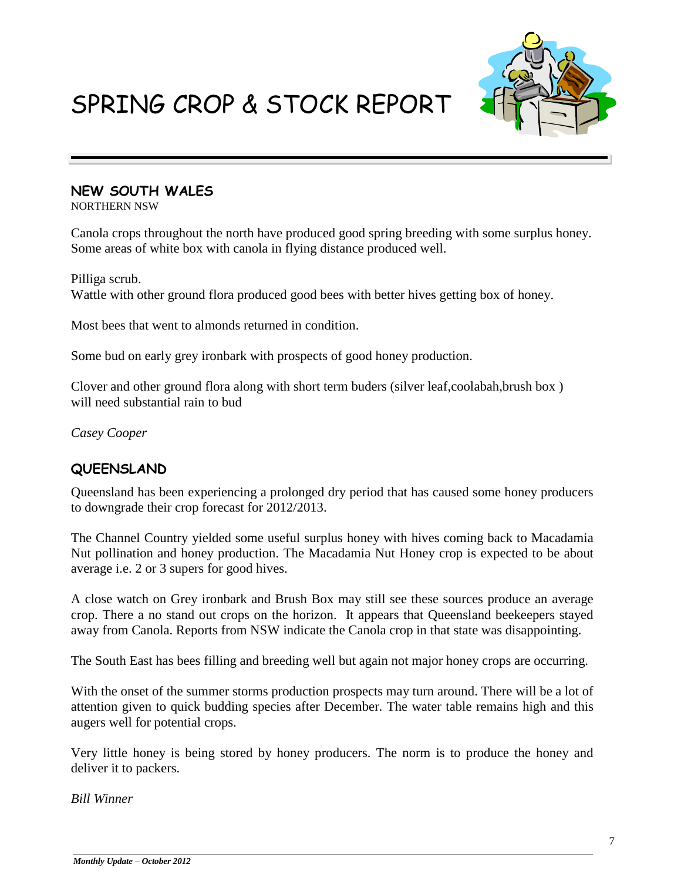# SPRING CROP & STOCK REPORT



### **NEW SOUTH WALES**

NORTHERN NSW

Canola crops throughout the north have produced good spring breeding with some surplus honey. Some areas of white box with canola in flying distance produced well.

Pilliga scrub. Wattle with other ground flora produced good bees with better hives getting box of honey.

Most bees that went to almonds returned in condition.

Some bud on early grey ironbark with prospects of good honey production.

Clover and other ground flora along with short term buders (silver leaf,coolabah,brush box ) will need substantial rain to bud

*Casey Cooper* 

## **QUEENSLAND**

Queensland has been experiencing a prolonged dry period that has caused some honey producers to downgrade their crop forecast for 2012/2013.

The Channel Country yielded some useful surplus honey with hives coming back to Macadamia Nut pollination and honey production. The Macadamia Nut Honey crop is expected to be about average i.e. 2 or 3 supers for good hives.

A close watch on Grey ironbark and Brush Box may still see these sources produce an average crop. There a no stand out crops on the horizon. It appears that Queensland beekeepers stayed away from Canola. Reports from NSW indicate the Canola crop in that state was disappointing.

The South East has bees filling and breeding well but again not major honey crops are occurring.

With the onset of the summer storms production prospects may turn around. There will be a lot of attention given to quick budding species after December. The water table remains high and this augers well for potential crops.

Very little honey is being stored by honey producers. The norm is to produce the honey and deliver it to packers.

*Bill Winner*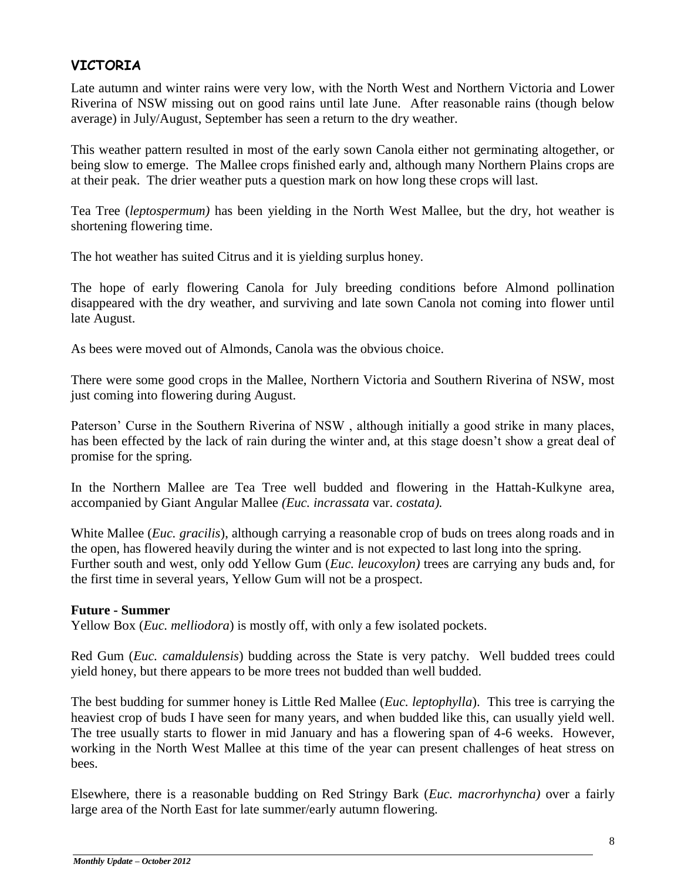## **VICTORIA**

Late autumn and winter rains were very low, with the North West and Northern Victoria and Lower Riverina of NSW missing out on good rains until late June. After reasonable rains (though below average) in July/August, September has seen a return to the dry weather.

This weather pattern resulted in most of the early sown Canola either not germinating altogether, or being slow to emerge. The Mallee crops finished early and, although many Northern Plains crops are at their peak. The drier weather puts a question mark on how long these crops will last.

Tea Tree (*leptospermum)* has been yielding in the North West Mallee, but the dry, hot weather is shortening flowering time.

The hot weather has suited Citrus and it is yielding surplus honey.

The hope of early flowering Canola for July breeding conditions before Almond pollination disappeared with the dry weather, and surviving and late sown Canola not coming into flower until late August.

As bees were moved out of Almonds, Canola was the obvious choice.

There were some good crops in the Mallee, Northern Victoria and Southern Riverina of NSW, most just coming into flowering during August.

Paterson' Curse in the Southern Riverina of NSW , although initially a good strike in many places, has been effected by the lack of rain during the winter and, at this stage doesn't show a great deal of promise for the spring.

In the Northern Mallee are Tea Tree well budded and flowering in the Hattah-Kulkyne area, accompanied by Giant Angular Mallee *(Euc. incrassata* var. *costata).*

White Mallee (*Euc. gracilis*), although carrying a reasonable crop of buds on trees along roads and in the open, has flowered heavily during the winter and is not expected to last long into the spring. Further south and west, only odd Yellow Gum (*Euc. leucoxylon)* trees are carrying any buds and, for the first time in several years, Yellow Gum will not be a prospect.

#### **Future - Summer**

Yellow Box (*Euc. melliodora*) is mostly off, with only a few isolated pockets.

Red Gum (*Euc. camaldulensis*) budding across the State is very patchy. Well budded trees could yield honey, but there appears to be more trees not budded than well budded.

The best budding for summer honey is Little Red Mallee (*Euc. leptophylla*). This tree is carrying the heaviest crop of buds I have seen for many years, and when budded like this, can usually yield well. The tree usually starts to flower in mid January and has a flowering span of 4-6 weeks. However, working in the North West Mallee at this time of the year can present challenges of heat stress on bees.

Elsewhere, there is a reasonable budding on Red Stringy Bark (*Euc. macrorhyncha)* over a fairly large area of the North East for late summer/early autumn flowering.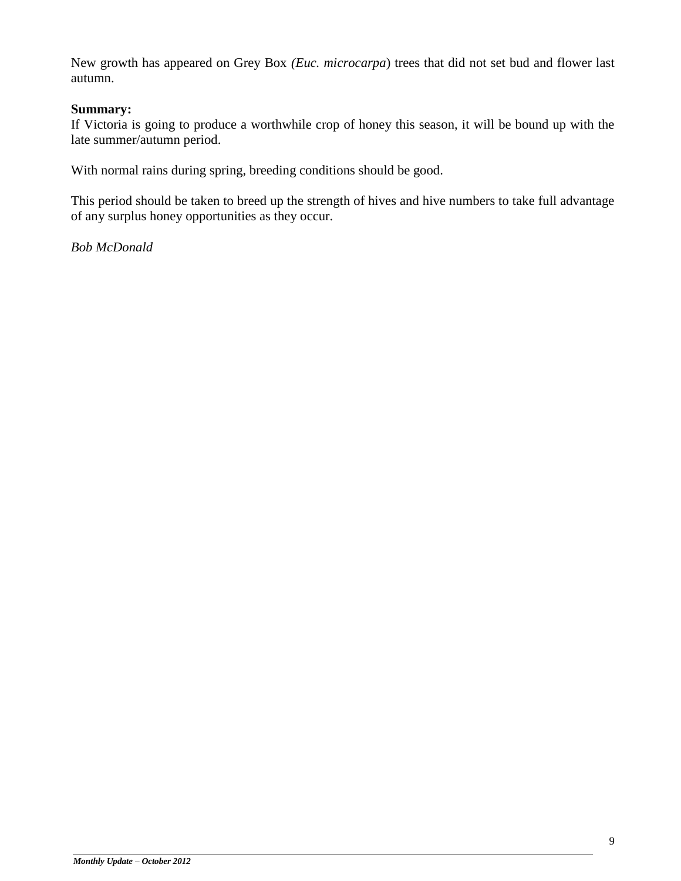New growth has appeared on Grey Box *(Euc. microcarpa*) trees that did not set bud and flower last autumn.

#### **Summary:**

If Victoria is going to produce a worthwhile crop of honey this season, it will be bound up with the late summer/autumn period.

With normal rains during spring, breeding conditions should be good.

This period should be taken to breed up the strength of hives and hive numbers to take full advantage of any surplus honey opportunities as they occur.

*Bob McDonald*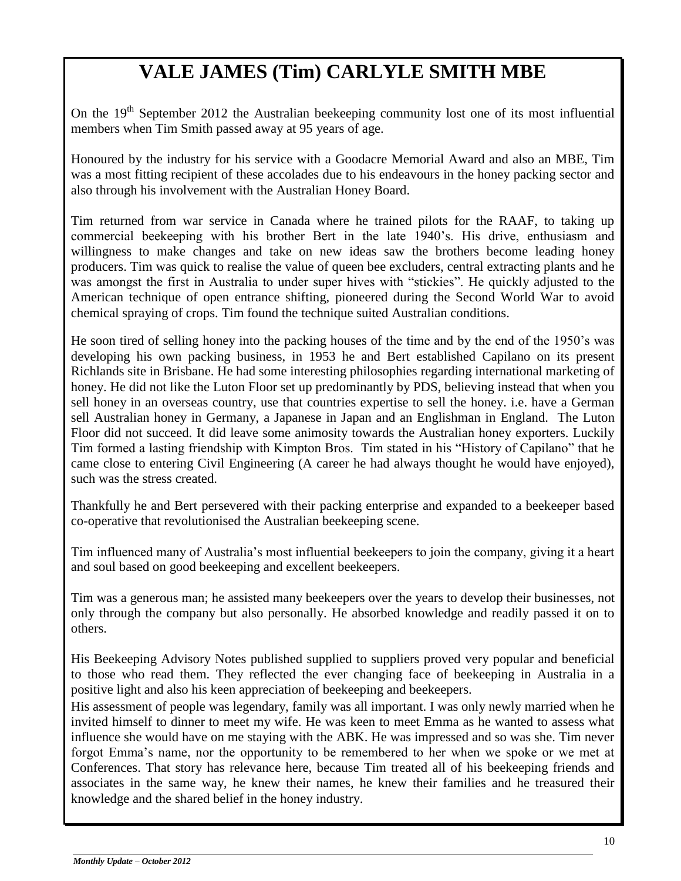# **VALE JAMES (Tim) CARLYLE SMITH MBE**

On the 19<sup>th</sup> September 2012 the Australian beekeeping community lost one of its most influential members when Tim Smith passed away at 95 years of age.

Honoured by the industry for his service with a Goodacre Memorial Award and also an MBE, Tim was a most fitting recipient of these accolades due to his endeavours in the honey packing sector and also through his involvement with the Australian Honey Board.

Tim returned from war service in Canada where he trained pilots for the RAAF, to taking up commercial beekeeping with his brother Bert in the late 1940's. His drive, enthusiasm and willingness to make changes and take on new ideas saw the brothers become leading honey producers. Tim was quick to realise the value of queen bee excluders, central extracting plants and he was amongst the first in Australia to under super hives with "stickies". He quickly adjusted to the American technique of open entrance shifting, pioneered during the Second World War to avoid chemical spraying of crops. Tim found the technique suited Australian conditions.

He soon tired of selling honey into the packing houses of the time and by the end of the 1950's was developing his own packing business, in 1953 he and Bert established Capilano on its present Richlands site in Brisbane. He had some interesting philosophies regarding international marketing of honey. He did not like the Luton Floor set up predominantly by PDS, believing instead that when you sell honey in an overseas country, use that countries expertise to sell the honey. i.e. have a German sell Australian honey in Germany, a Japanese in Japan and an Englishman in England. The Luton Floor did not succeed. It did leave some animosity towards the Australian honey exporters. Luckily Tim formed a lasting friendship with Kimpton Bros. Tim stated in his "History of Capilano" that he came close to entering Civil Engineering (A career he had always thought he would have enjoyed), such was the stress created.

Thankfully he and Bert persevered with their packing enterprise and expanded to a beekeeper based co-operative that revolutionised the Australian beekeeping scene.

Tim influenced many of Australia's most influential beekeepers to join the company, giving it a heart and soul based on good beekeeping and excellent beekeepers.

Tim was a generous man; he assisted many beekeepers over the years to develop their businesses, not only through the company but also personally. He absorbed knowledge and readily passed it on to others.

His Beekeeping Advisory Notes published supplied to suppliers proved very popular and beneficial to those who read them. They reflected the ever changing face of beekeeping in Australia in a positive light and also his keen appreciation of beekeeping and beekeepers.

His assessment of people was legendary, family was all important. I was only newly married when he invited himself to dinner to meet my wife. He was keen to meet Emma as he wanted to assess what influence she would have on me staying with the ABK. He was impressed and so was she. Tim never forgot Emma's name, nor the opportunity to be remembered to her when we spoke or we met at Conferences. That story has relevance here, because Tim treated all of his beekeeping friends and associates in the same way, he knew their names, he knew their families and he treasured their knowledge and the shared belief in the honey industry.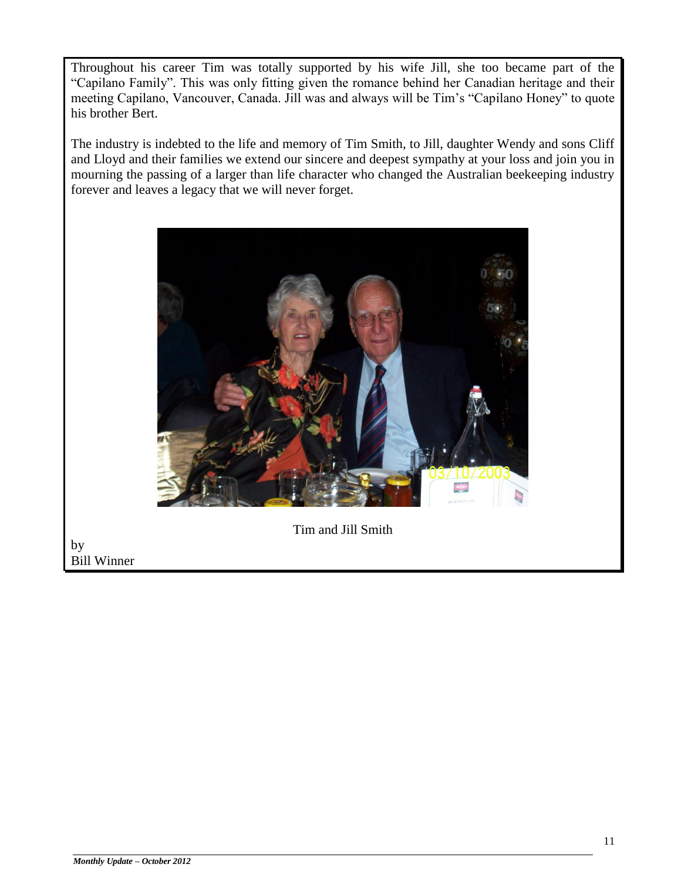Throughout his career Tim was totally supported by his wife Jill, she too became part of the "Capilano Family". This was only fitting given the romance behind her Canadian heritage and their meeting Capilano, Vancouver, Canada. Jill was and always will be Tim's "Capilano Honey" to quote his brother Bert.

The industry is indebted to the life and memory of Tim Smith, to Jill, daughter Wendy and sons Cliff and Lloyd and their families we extend our sincere and deepest sympathy at your loss and join you in mourning the passing of a larger than life character who changed the Australian beekeeping industry forever and leaves a legacy that we will never forget.



Tim and Jill Smith

by Bill Winner